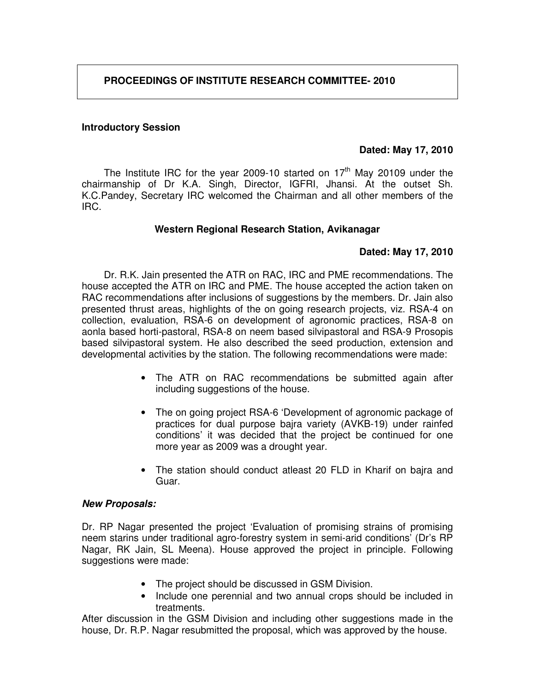## **Introductory Session**

#### **Dated: May 17, 2010**

The Institute IRC for the year 2009-10 started on  $17<sup>th</sup>$  May 20109 under the chairmanship of Dr K.A. Singh, Director, IGFRI, Jhansi. At the outset Sh. K.C.Pandey, Secretary IRC welcomed the Chairman and all other members of the IRC.

#### **Western Regional Research Station, Avikanagar**

#### **Dated: May 17, 2010**

Dr. R.K. Jain presented the ATR on RAC, IRC and PME recommendations. The house accepted the ATR on IRC and PME. The house accepted the action taken on RAC recommendations after inclusions of suggestions by the members. Dr. Jain also presented thrust areas, highlights of the on going research projects, viz. RSA-4 on collection, evaluation, RSA-6 on development of agronomic practices, RSA-8 on aonla based horti-pastoral, RSA-8 on neem based silvipastoral and RSA-9 Prosopis based silvipastoral system. He also described the seed production, extension and developmental activities by the station. The following recommendations were made:

- The ATR on RAC recommendations be submitted again after including suggestions of the house.
- The on going project RSA-6 'Development of agronomic package of practices for dual purpose bajra variety (AVKB-19) under rainfed conditions' it was decided that the project be continued for one more year as 2009 was a drought year.
- The station should conduct atleast 20 FLD in Kharif on bajra and Guar.

#### **New Proposals:**

Dr. RP Nagar presented the project 'Evaluation of promising strains of promising neem starins under traditional agro-forestry system in semi-arid conditions' (Dr's RP Nagar, RK Jain, SL Meena). House approved the project in principle. Following suggestions were made:

- The project should be discussed in GSM Division.
- Include one perennial and two annual crops should be included in treatments.

After discussion in the GSM Division and including other suggestions made in the house, Dr. R.P. Nagar resubmitted the proposal, which was approved by the house.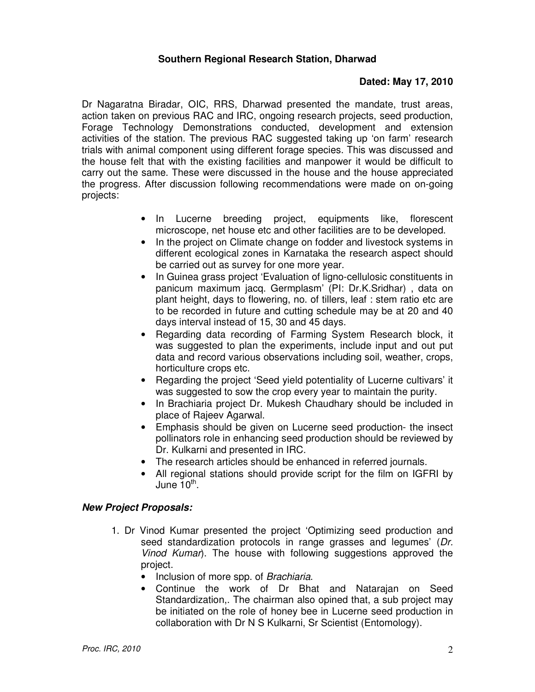#### **Southern Regional Research Station, Dharwad**

## **Dated: May 17, 2010**

Dr Nagaratna Biradar, OIC, RRS, Dharwad presented the mandate, trust areas, action taken on previous RAC and IRC, ongoing research projects, seed production, Forage Technology Demonstrations conducted, development and extension activities of the station. The previous RAC suggested taking up 'on farm' research trials with animal component using different forage species. This was discussed and the house felt that with the existing facilities and manpower it would be difficult to carry out the same. These were discussed in the house and the house appreciated the progress. After discussion following recommendations were made on on-going projects:

- In Lucerne breeding project, equipments like, florescent microscope, net house etc and other facilities are to be developed.
- In the project on Climate change on fodder and livestock systems in different ecological zones in Karnataka the research aspect should be carried out as survey for one more year.
- In Guinea grass project 'Evaluation of ligno-cellulosic constituents in panicum maximum jacq. Germplasm' (PI: Dr.K.Sridhar) , data on plant height, days to flowering, no. of tillers, leaf : stem ratio etc are to be recorded in future and cutting schedule may be at 20 and 40 days interval instead of 15, 30 and 45 days.
- Regarding data recording of Farming System Research block, it was suggested to plan the experiments, include input and out put data and record various observations including soil, weather, crops, horticulture crops etc.
- Regarding the project 'Seed yield potentiality of Lucerne cultivars' it was suggested to sow the crop every year to maintain the purity.
- In Brachiaria project Dr. Mukesh Chaudhary should be included in place of Rajeev Agarwal.
- Emphasis should be given on Lucerne seed production- the insect pollinators role in enhancing seed production should be reviewed by Dr. Kulkarni and presented in IRC.
- The research articles should be enhanced in referred journals.
- All regional stations should provide script for the film on IGFRI by June 10<sup>th</sup>.

- 1. Dr Vinod Kumar presented the project 'Optimizing seed production and seed standardization protocols in range grasses and legumes' (Dr. Vinod Kumar). The house with following suggestions approved the project.
	- Inclusion of more spp. of *Brachiaria*.
	- Continue the work of Dr Bhat and Natarajan on Seed Standardization,. The chairman also opined that, a sub project may be initiated on the role of honey bee in Lucerne seed production in collaboration with Dr N S Kulkarni, Sr Scientist (Entomology).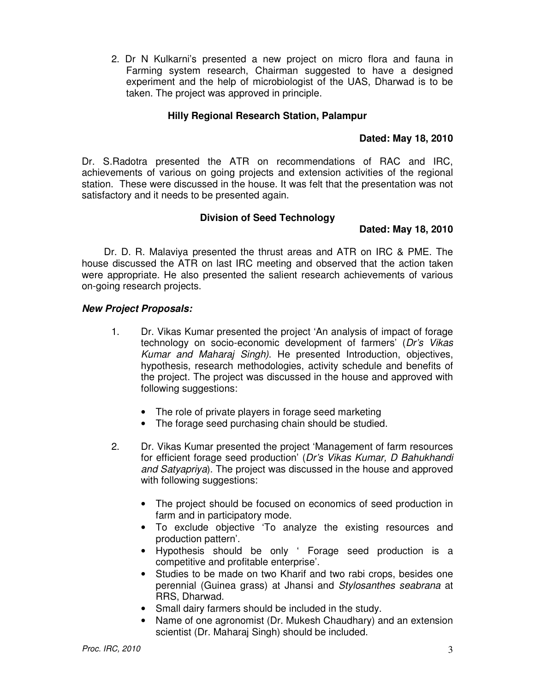2. Dr N Kulkarni's presented a new project on micro flora and fauna in Farming system research, Chairman suggested to have a designed experiment and the help of microbiologist of the UAS, Dharwad is to be taken. The project was approved in principle.

## **Hilly Regional Research Station, Palampur**

# **Dated: May 18, 2010**

Dr. S.Radotra presented the ATR on recommendations of RAC and IRC, achievements of various on going projects and extension activities of the regional station. These were discussed in the house. It was felt that the presentation was not satisfactory and it needs to be presented again.

# **Division of Seed Technology**

# **Dated: May 18, 2010**

Dr. D. R. Malaviya presented the thrust areas and ATR on IRC & PME. The house discussed the ATR on last IRC meeting and observed that the action taken were appropriate. He also presented the salient research achievements of various on-going research projects.

- 1. Dr. Vikas Kumar presented the project 'An analysis of impact of forage technology on socio-economic development of farmers' (Dr's Vikas Kumar and Maharaj Singh). He presented Introduction, objectives, hypothesis, research methodologies, activity schedule and benefits of the project. The project was discussed in the house and approved with following suggestions:
	- The role of private players in forage seed marketing
	- The forage seed purchasing chain should be studied.
- 2. Dr. Vikas Kumar presented the project 'Management of farm resources for efficient forage seed production' (Dr's Vikas Kumar, D Bahukhandi and Satyapriya). The project was discussed in the house and approved with following suggestions:
	- The project should be focused on economics of seed production in farm and in participatory mode.
	- To exclude objective 'To analyze the existing resources and production pattern'.
	- Hypothesis should be only ' Forage seed production is a competitive and profitable enterprise'.
	- Studies to be made on two Kharif and two rabi crops, besides one perennial (Guinea grass) at Jhansi and Stylosanthes seabrana at RRS, Dharwad.
	- Small dairy farmers should be included in the study.
	- Name of one agronomist (Dr. Mukesh Chaudhary) and an extension scientist (Dr. Maharaj Singh) should be included.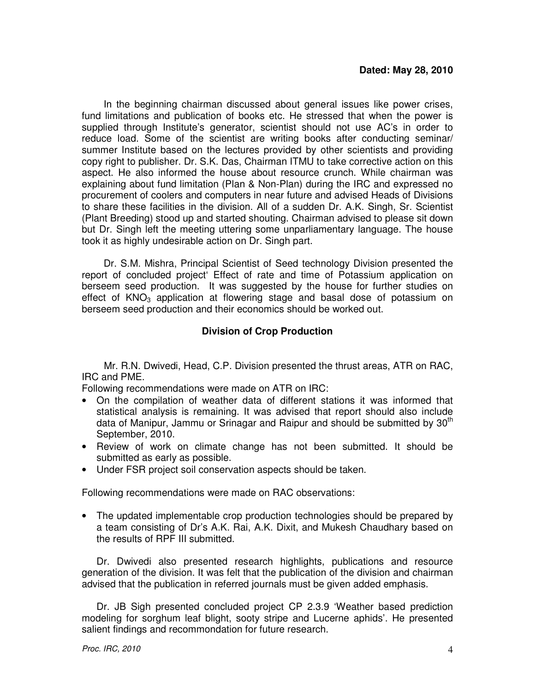In the beginning chairman discussed about general issues like power crises, fund limitations and publication of books etc. He stressed that when the power is supplied through Institute's generator, scientist should not use AC's in order to reduce load. Some of the scientist are writing books after conducting seminar/ summer Institute based on the lectures provided by other scientists and providing copy right to publisher. Dr. S.K. Das, Chairman ITMU to take corrective action on this aspect. He also informed the house about resource crunch. While chairman was explaining about fund limitation (Plan & Non-Plan) during the IRC and expressed no procurement of coolers and computers in near future and advised Heads of Divisions to share these facilities in the division. All of a sudden Dr. A.K. Singh, Sr. Scientist (Plant Breeding) stood up and started shouting. Chairman advised to please sit down but Dr. Singh left the meeting uttering some unparliamentary language. The house took it as highly undesirable action on Dr. Singh part.

Dr. S.M. Mishra, Principal Scientist of Seed technology Division presented the report of concluded project' Effect of rate and time of Potassium application on berseem seed production. It was suggested by the house for further studies on effect of  $KNO<sub>3</sub>$  application at flowering stage and basal dose of potassium on berseem seed production and their economics should be worked out.

# **Division of Crop Production**

Mr. R.N. Dwivedi, Head, C.P. Division presented the thrust areas, ATR on RAC, IRC and PME.

Following recommendations were made on ATR on IRC:

- On the compilation of weather data of different stations it was informed that statistical analysis is remaining. It was advised that report should also include data of Manipur, Jammu or Srinagar and Raipur and should be submitted by 30<sup>th</sup> September, 2010.
- Review of work on climate change has not been submitted. It should be submitted as early as possible.
- Under FSR project soil conservation aspects should be taken.

Following recommendations were made on RAC observations:

• The updated implementable crop production technologies should be prepared by a team consisting of Dr's A.K. Rai, A.K. Dixit, and Mukesh Chaudhary based on the results of RPF III submitted.

Dr. Dwivedi also presented research highlights, publications and resource generation of the division. It was felt that the publication of the division and chairman advised that the publication in referred journals must be given added emphasis.

Dr. JB Sigh presented concluded project CP 2.3.9 'Weather based prediction modeling for sorghum leaf blight, sooty stripe and Lucerne aphids'. He presented salient findings and recommondation for future research.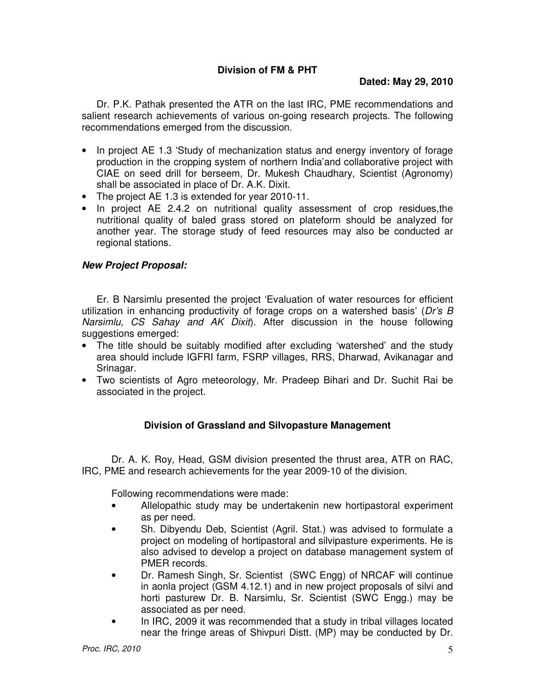Dr. P.K. Pathak presented the ATR on the last IRC, PME recommendations and salient research achievements of various on-going research projects. The following recommendations emerged from the discussion.

- In project AE 1.3 'Study of mechanization status and energy inventory of forage production in the cropping system of northern India'and collaborative project with CIAE on seed drill for berseem, Dr. Mukesh Chaudhary, Scientist (Agronomy) shall be associated in place of Dr. A.K. Dixit.
- The project AE 1.3 is extended for year 2010-11.
- In project AE 2.4.2 on nutritional quality assessment of crop residues,the nutritional quality of baled grass stored on plateform should be analyzed for another year. The storage study of feed resources may also be conducted ar regional stations.

# **New Project Proposal:**

Er. B Narsimlu presented the project 'Evaluation of water resources for efficient utilization in enhancing productivity of forage crops on a watershed basis' ( $Dr's B$ ) Narsimlu, CS Sahay and AK Dixit). After discussion in the house following suggestions emerged:

- The title should be suitably modified after excluding 'watershed' and the study area should include IGFRI farm, FSRP villages, RRS, Dharwad, Avikanagar and Srinagar.
- Two scientists of Agro meteorology, Mr. Pradeep Bihari and Dr. Suchit Rai be associated in the project.

# **Division of Grassland and Silvopasture Management**

Dr. A. K. Roy, Head, GSM division presented the thrust area, ATR on RAC, IRC, PME and research achievements for the year 2009-10 of the division.

Following recommendations were made:

- Allelopathic study may be undertakenin new hortipastoral experiment as per need.
- Sh. Dibyendu Deb, Scientist (Agril. Stat.) was advised to formulate a project on modeling of hortipastoral and silvipasture experiments. He is also advised to develop a project on database management system of PMER records.
- Dr. Ramesh Singh, Sr. Scientist (SWC Engg) of NRCAF will continue in aonla project (GSM 4.12.1) and in new project proposals of silvi and horti pasturew Dr. B. Narsimlu, Sr. Scientist (SWC Engg.) may be associated as per need.
- In IRC, 2009 it was recommended that a study in tribal villages located near the fringe areas of Shivpuri Distt. (MP) may be conducted by Dr.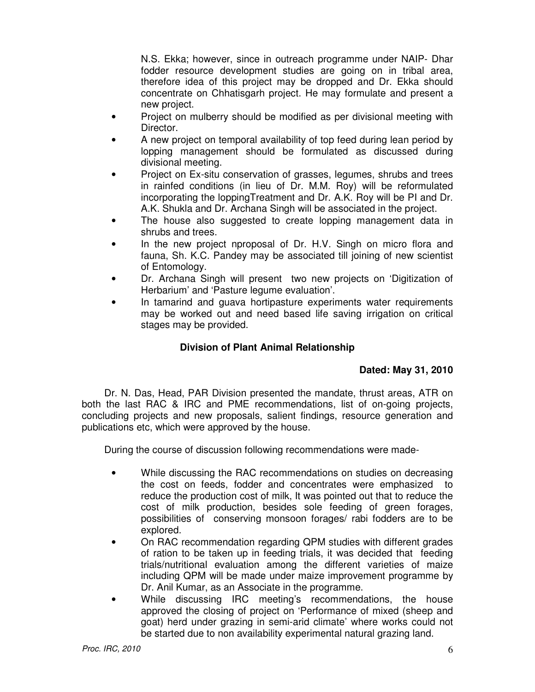N.S. Ekka; however, since in outreach programme under NAIP- Dhar fodder resource development studies are going on in tribal area, therefore idea of this project may be dropped and Dr. Ekka should concentrate on Chhatisgarh project. He may formulate and present a new project.

- Project on mulberry should be modified as per divisional meeting with Director.
- A new project on temporal availability of top feed during lean period by lopping management should be formulated as discussed during divisional meeting.
- Project on Ex-situ conservation of grasses, legumes, shrubs and trees in rainfed conditions (in lieu of Dr. M.M. Roy) will be reformulated incorporating the loppingTreatment and Dr. A.K. Roy will be PI and Dr. A.K. Shukla and Dr. Archana Singh will be associated in the project.
- The house also suggested to create lopping management data in shrubs and trees.
- In the new project nproposal of Dr. H.V. Singh on micro flora and fauna, Sh. K.C. Pandey may be associated till joining of new scientist of Entomology.
- Dr. Archana Singh will present two new projects on 'Digitization of Herbarium' and 'Pasture legume evaluation'.
- In tamarind and guava hortipasture experiments water requirements may be worked out and need based life saving irrigation on critical stages may be provided.

# **Division of Plant Animal Relationship**

# **Dated: May 31, 2010**

Dr. N. Das, Head, PAR Division presented the mandate, thrust areas, ATR on both the last RAC & IRC and PME recommendations, list of on-going projects, concluding projects and new proposals, salient findings, resource generation and publications etc, which were approved by the house.

During the course of discussion following recommendations were made-

- While discussing the RAC recommendations on studies on decreasing the cost on feeds, fodder and concentrates were emphasized to reduce the production cost of milk, It was pointed out that to reduce the cost of milk production, besides sole feeding of green forages, possibilities of conserving monsoon forages/ rabi fodders are to be explored.
- On RAC recommendation regarding QPM studies with different grades of ration to be taken up in feeding trials, it was decided that feeding trials/nutritional evaluation among the different varieties of maize including QPM will be made under maize improvement programme by Dr. Anil Kumar, as an Associate in the programme.
- While discussing IRC meeting's recommendations, the house approved the closing of project on 'Performance of mixed (sheep and goat) herd under grazing in semi-arid climate' where works could not be started due to non availability experimental natural grazing land.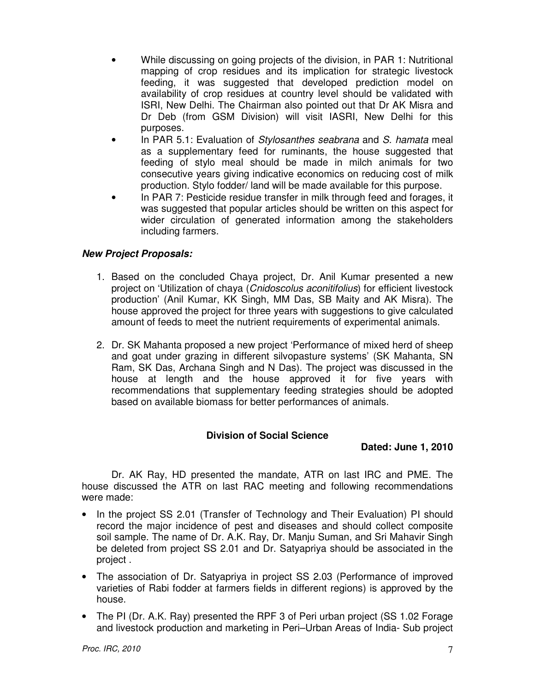- While discussing on going projects of the division, in PAR 1: Nutritional mapping of crop residues and its implication for strategic livestock feeding, it was suggested that developed prediction model on availability of crop residues at country level should be validated with ISRI, New Delhi. The Chairman also pointed out that Dr AK Misra and Dr Deb (from GSM Division) will visit IASRI, New Delhi for this purposes.
- In PAR 5.1: Evaluation of Stylosanthes seabrana and S. hamata meal as a supplementary feed for ruminants, the house suggested that feeding of stylo meal should be made in milch animals for two consecutive years giving indicative economics on reducing cost of milk production. Stylo fodder/ land will be made available for this purpose.
- In PAR 7: Pesticide residue transfer in milk through feed and forages, it was suggested that popular articles should be written on this aspect for wider circulation of generated information among the stakeholders including farmers.

# **New Project Proposals:**

- 1. Based on the concluded Chaya project, Dr. Anil Kumar presented a new project on 'Utilization of chaya (Cnidoscolus aconitifolius) for efficient livestock production' (Anil Kumar, KK Singh, MM Das, SB Maity and AK Misra). The house approved the project for three years with suggestions to give calculated amount of feeds to meet the nutrient requirements of experimental animals.
- 2. Dr. SK Mahanta proposed a new project 'Performance of mixed herd of sheep and goat under grazing in different silvopasture systems' (SK Mahanta, SN Ram, SK Das, Archana Singh and N Das). The project was discussed in the house at length and the house approved it for five years with recommendations that supplementary feeding strategies should be adopted based on available biomass for better performances of animals.

## **Division of Social Science**

## **Dated: June 1, 2010**

 Dr. AK Ray, HD presented the mandate, ATR on last IRC and PME. The house discussed the ATR on last RAC meeting and following recommendations were made:

- In the project SS 2.01 (Transfer of Technology and Their Evaluation) PI should record the major incidence of pest and diseases and should collect composite soil sample. The name of Dr. A.K. Ray, Dr. Manju Suman, and Sri Mahavir Singh be deleted from project SS 2.01 and Dr. Satyapriya should be associated in the project .
- The association of Dr. Satyapriya in project SS 2.03 (Performance of improved varieties of Rabi fodder at farmers fields in different regions) is approved by the house.
- The PI (Dr. A.K. Ray) presented the RPF 3 of Peri urban project (SS 1.02 Forage and livestock production and marketing in Peri–Urban Areas of India- Sub project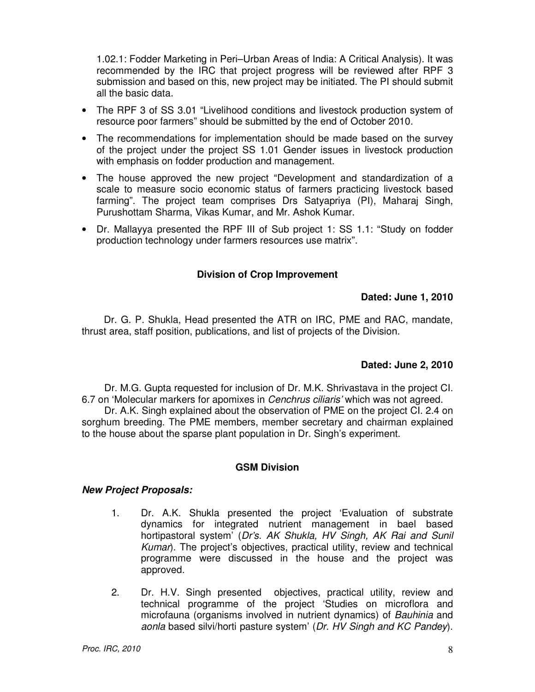1.02.1: Fodder Marketing in Peri–Urban Areas of India: A Critical Analysis). It was recommended by the IRC that project progress will be reviewed after RPF 3 submission and based on this, new project may be initiated. The PI should submit all the basic data.

- The RPF 3 of SS 3.01 "Livelihood conditions and livestock production system of resource poor farmers" should be submitted by the end of October 2010.
- The recommendations for implementation should be made based on the survey of the project under the project SS 1.01 Gender issues in livestock production with emphasis on fodder production and management.
- The house approved the new project "Development and standardization of a scale to measure socio economic status of farmers practicing livestock based farming". The project team comprises Drs Satyapriya (PI), Maharaj Singh, Purushottam Sharma, Vikas Kumar, and Mr. Ashok Kumar.
- Dr. Mallayya presented the RPF III of Sub project 1: SS 1.1: "Study on fodder production technology under farmers resources use matrix".

# **Division of Crop Improvement**

## **Dated: June 1, 2010**

Dr. G. P. Shukla, Head presented the ATR on IRC, PME and RAC, mandate, thrust area, staff position, publications, and list of projects of the Division.

## **Dated: June 2, 2010**

Dr. M.G. Gupta requested for inclusion of Dr. M.K. Shrivastava in the project CI. 6.7 on 'Molecular markers for apomixes in Cenchrus ciliaris' which was not agreed.

Dr. A.K. Singh explained about the observation of PME on the project CI. 2.4 on sorghum breeding. The PME members, member secretary and chairman explained to the house about the sparse plant population in Dr. Singh's experiment.

## **GSM Division**

- 1. Dr. A.K. Shukla presented the project 'Evaluation of substrate dynamics for integrated nutrient management in bael based hortipastoral system' (Dr's. AK Shukla, HV Singh, AK Rai and Sunil Kumar). The project's objectives, practical utility, review and technical programme were discussed in the house and the project was approved.
- 2. Dr. H.V. Singh presented objectives, practical utility, review and technical programme of the project 'Studies on microflora and microfauna (organisms involved in nutrient dynamics) of Bauhinia and aonla based silvi/horti pasture system' (Dr. HV Singh and KC Pandey).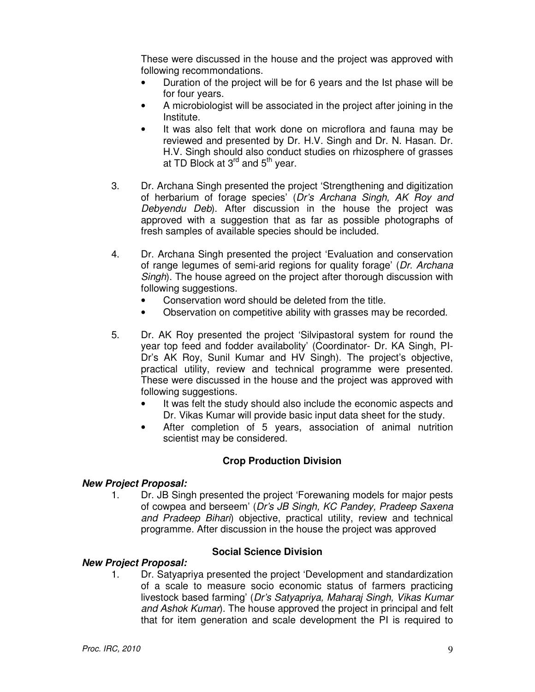These were discussed in the house and the project was approved with following recommondations.

- Duration of the project will be for 6 years and the Ist phase will be for four years.
- A microbiologist will be associated in the project after joining in the Institute.
- It was also felt that work done on microflora and fauna may be reviewed and presented by Dr. H.V. Singh and Dr. N. Hasan. Dr. H.V. Singh should also conduct studies on rhizosphere of grasses at TD Block at  $3<sup>rd</sup>$  and  $5<sup>th</sup>$  year.
- 3. Dr. Archana Singh presented the project 'Strengthening and digitization of herbarium of forage species' (Dr's Archana Singh, AK Roy and Debyendu Deb). After discussion in the house the project was approved with a suggestion that as far as possible photographs of fresh samples of available species should be included.
- 4. Dr. Archana Singh presented the project 'Evaluation and conservation of range legumes of semi-arid regions for quality forage' (Dr. Archana Singh). The house agreed on the project after thorough discussion with following suggestions.
	- Conservation word should be deleted from the title.
	- Observation on competitive ability with grasses may be recorded.
- 5. Dr. AK Roy presented the project 'Silvipastoral system for round the year top feed and fodder availabolity' (Coordinator- Dr. KA Singh, PI-Dr's AK Roy, Sunil Kumar and HV Singh). The project's objective, practical utility, review and technical programme were presented. These were discussed in the house and the project was approved with following suggestions.
	- It was felt the study should also include the economic aspects and Dr. Vikas Kumar will provide basic input data sheet for the study.
	- After completion of 5 years, association of animal nutrition scientist may be considered.

## **Crop Production Division**

## **New Project Proposal:**

1. Dr. JB Singh presented the project 'Forewaning models for major pests of cowpea and berseem' (Dr's JB Singh, KC Pandey, Pradeep Saxena and Pradeep Bihari) objective, practical utility, review and technical programme. After discussion in the house the project was approved

#### **Social Science Division New Project Proposal:**

1. Dr. Satyapriya presented the project 'Development and standardization of a scale to measure socio economic status of farmers practicing livestock based farming' (Dr's Satyapriya, Maharaj Singh, Vikas Kumar and Ashok Kumar). The house approved the project in principal and felt that for item generation and scale development the PI is required to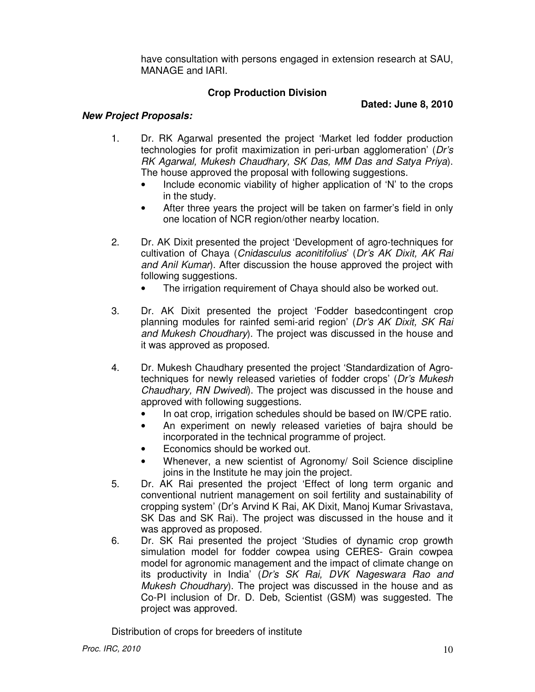have consultation with persons engaged in extension research at SAU, MANAGE and IARI.

# **Crop Production Division**

**Dated: June 8, 2010** 

# **New Project Proposals:**

- 1. Dr. RK Agarwal presented the project 'Market led fodder production technologies for profit maximization in peri-urban agglomeration' (Dr's RK Agarwal, Mukesh Chaudhary, SK Das, MM Das and Satya Priya). The house approved the proposal with following suggestions.
	- Include economic viability of higher application of 'N' to the crops in the study.
	- After three years the project will be taken on farmer's field in only one location of NCR region/other nearby location.
- 2. Dr. AK Dixit presented the project 'Development of agro-techniques for cultivation of Chaya (Cnidasculus aconitifolius' (Dr's AK Dixit, AK Rai and Anil Kuman. After discussion the house approved the project with following suggestions.
	- The irrigation requirement of Chaya should also be worked out.
- 3. Dr. AK Dixit presented the project 'Fodder basedcontingent crop planning modules for rainfed semi-arid region' (Dr's AK Dixit, SK Rai and Mukesh Choudhary). The project was discussed in the house and it was approved as proposed.
- 4. Dr. Mukesh Chaudhary presented the project 'Standardization of Agrotechniques for newly released varieties of fodder crops' (Dr's Mukesh Chaudhary, RN Dwivedi). The project was discussed in the house and approved with following suggestions.
	- In oat crop, irrigation schedules should be based on IW/CPE ratio.
	- An experiment on newly released varieties of bajra should be incorporated in the technical programme of project.
	- Economics should be worked out.
	- Whenever, a new scientist of Agronomy/ Soil Science discipline joins in the Institute he may join the project.
- 5. Dr. AK Rai presented the project 'Effect of long term organic and conventional nutrient management on soil fertility and sustainability of cropping system' (Dr's Arvind K Rai, AK Dixit, Manoj Kumar Srivastava, SK Das and SK Rai). The project was discussed in the house and it was approved as proposed.
- 6. Dr. SK Rai presented the project 'Studies of dynamic crop growth simulation model for fodder cowpea using CERES- Grain cowpea model for agronomic management and the impact of climate change on its productivity in India' (Dr's SK Rai, DVK Nageswara Rao and Mukesh Choudhary). The project was discussed in the house and as Co-PI inclusion of Dr. D. Deb, Scientist (GSM) was suggested. The project was approved.

Distribution of crops for breeders of institute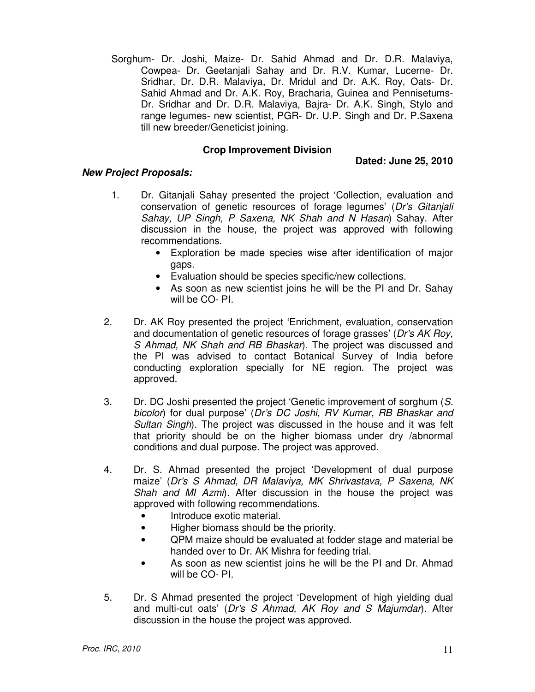Sorghum- Dr. Joshi, Maize- Dr. Sahid Ahmad and Dr. D.R. Malaviya, Cowpea- Dr. Geetanjali Sahay and Dr. R.V. Kumar, Lucerne- Dr. Sridhar, Dr. D.R. Malaviya, Dr. Mridul and Dr. A.K. Roy, Oats- Dr. Sahid Ahmad and Dr. A.K. Roy, Bracharia, Guinea and Pennisetums-Dr. Sridhar and Dr. D.R. Malaviya, Bajra- Dr. A.K. Singh, Stylo and range legumes- new scientist, PGR- Dr. U.P. Singh and Dr. P.Saxena till new breeder/Geneticist joining.

#### **Crop Improvement Division**

#### **Dated: June 25, 2010**

- 1. Dr. Gitanjali Sahay presented the project 'Collection, evaluation and conservation of genetic resources of forage legumes' (Dr's Gitanjali Sahay, UP Singh, P Saxena, NK Shah and N Hasan) Sahay. After discussion in the house, the project was approved with following recommendations.
	- Exploration be made species wise after identification of major gaps.
	- Evaluation should be species specific/new collections.
	- As soon as new scientist joins he will be the PI and Dr. Sahay will be CO- PI.
- 2. Dr. AK Roy presented the project 'Enrichment, evaluation, conservation and documentation of genetic resources of forage grasses' (Dr's AK Roy, S Ahmad, NK Shah and RB Bhaskar). The project was discussed and the PI was advised to contact Botanical Survey of India before conducting exploration specially for NE region. The project was approved.
- 3. Dr. DC Joshi presented the project 'Genetic improvement of sorghum (S. bicolor) for dual purpose' (Dr's DC Joshi, RV Kumar, RB Bhaskar and Sultan Singh). The project was discussed in the house and it was felt that priority should be on the higher biomass under dry /abnormal conditions and dual purpose. The project was approved.
- 4. Dr. S. Ahmad presented the project 'Development of dual purpose maize' (Dr's S Ahmad, DR Malaviya, MK Shrivastava, P Saxena, NK Shah and MI Azmi). After discussion in the house the project was approved with following recommendations.
	- Introduce exotic material.
	- Higher biomass should be the priority.
	- QPM maize should be evaluated at fodder stage and material be handed over to Dr. AK Mishra for feeding trial.
	- As soon as new scientist joins he will be the PI and Dr. Ahmad will be CO- PI.
- 5. Dr. S Ahmad presented the project 'Development of high yielding dual and multi-cut oats' (Dr's S Ahmad, AK Roy and S Majumdar). After discussion in the house the project was approved.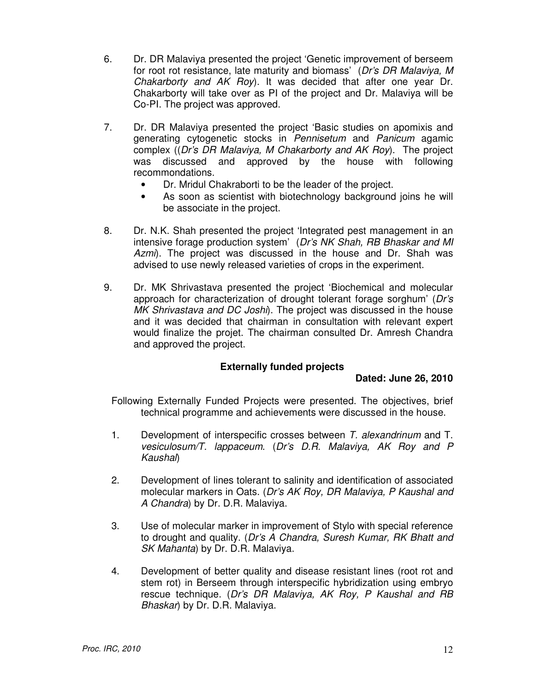- 6. Dr. DR Malaviya presented the project 'Genetic improvement of berseem for root rot resistance, late maturity and biomass' (Dr's DR Malaviya, M Chakarborty and AK Roy). It was decided that after one year Dr. Chakarborty will take over as PI of the project and Dr. Malaviya will be Co-PI. The project was approved.
- 7. Dr. DR Malaviya presented the project 'Basic studies on apomixis and generating cytogenetic stocks in Pennisetum and Panicum agamic complex ((Dr's DR Malaviya, M Chakarborty and AK Roy). The project was discussed and approved by the house with following recommondations.
	- Dr. Mridul Chakraborti to be the leader of the project.
	- As soon as scientist with biotechnology background joins he will be associate in the project.
- 8. Dr. N.K. Shah presented the project 'Integrated pest management in an intensive forage production system' (Dr's NK Shah, RB Bhaskar and MI Azmi). The project was discussed in the house and Dr. Shah was advised to use newly released varieties of crops in the experiment.
- 9. Dr. MK Shrivastava presented the project 'Biochemical and molecular approach for characterization of drought tolerant forage sorghum' (Dr's MK Shrivastava and DC Joshi). The project was discussed in the house and it was decided that chairman in consultation with relevant expert would finalize the projet. The chairman consulted Dr. Amresh Chandra and approved the project.

## **Externally funded projects**

## **Dated: June 26, 2010**

Following Externally Funded Projects were presented. The objectives, brief technical programme and achievements were discussed in the house.

- 1. Development of interspecific crosses between T. alexandrinum and T. vesiculosum/T. lappaceum. (Dr's D.R. Malaviya, AK Roy and P Kaushal)
- 2. Development of lines tolerant to salinity and identification of associated molecular markers in Oats. (Dr's AK Roy, DR Malaviya, P Kaushal and A Chandra) by Dr. D.R. Malaviya.
- 3. Use of molecular marker in improvement of Stylo with special reference to drought and quality. (Dr's A Chandra, Suresh Kumar, RK Bhatt and SK Mahanta) by Dr. D.R. Malaviya.
- 4. Development of better quality and disease resistant lines (root rot and stem rot) in Berseem through interspecific hybridization using embryo rescue technique. (Dr's DR Malaviya, AK Roy, P Kaushal and RB Bhaskar) by Dr. D.R. Malaviya.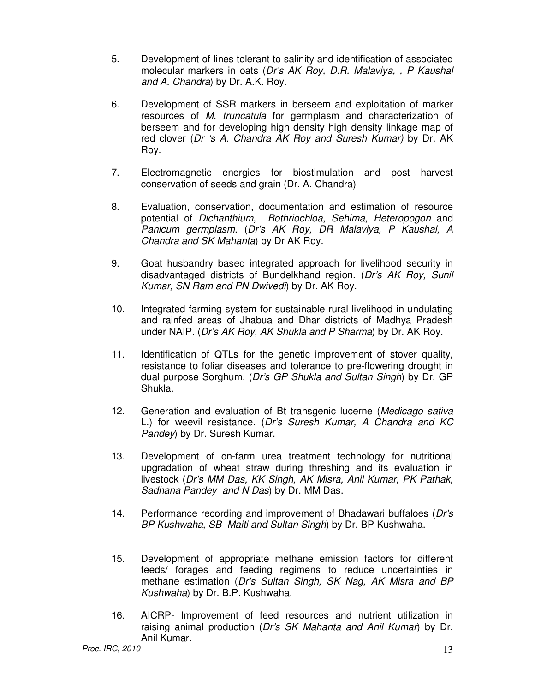- 5. Development of lines tolerant to salinity and identification of associated molecular markers in oats (Dr's AK Roy, D.R. Malaviya, , P Kaushal and A. Chandra) by Dr. A.K. Roy.
- 6. Development of SSR markers in berseem and exploitation of marker resources of M. truncatula for germplasm and characterization of berseem and for developing high density high density linkage map of red clover (Dr 's A. Chandra AK Roy and Suresh Kumar) by Dr. AK Roy.
- 7. Electromagnetic energies for biostimulation and post harvest conservation of seeds and grain (Dr. A. Chandra)
- 8. Evaluation, conservation, documentation and estimation of resource potential of Dichanthium, Bothriochloa, Sehima, Heteropogon and Panicum germplasm. (Dr's AK Roy, DR Malaviya, P Kaushal, A Chandra and SK Mahanta) by Dr AK Roy.
- 9. Goat husbandry based integrated approach for livelihood security in disadvantaged districts of Bundelkhand region. (Dr's AK Roy, Sunil Kumar, SN Ram and PN Dwivedi) by Dr. AK Roy.
- 10. Integrated farming system for sustainable rural livelihood in undulating and rainfed areas of Jhabua and Dhar districts of Madhya Pradesh under NAIP. (Dr's AK Roy, AK Shukla and P Sharma) by Dr. AK Roy.
- 11. Identification of QTLs for the genetic improvement of stover quality, resistance to foliar diseases and tolerance to pre-flowering drought in dual purpose Sorghum. (Dr's GP Shukla and Sultan Singh) by Dr. GP Shukla.
- 12. Generation and evaluation of Bt transgenic lucerne (Medicago sativa L.) for weevil resistance. (Dr's Suresh Kumar, A Chandra and KC Pandey) by Dr. Suresh Kumar.
- 13. Development of on-farm urea treatment technology for nutritional upgradation of wheat straw during threshing and its evaluation in livestock (Dr's MM Das, KK Singh, AK Misra, Anil Kumar, PK Pathak, Sadhana Pandey and N Das) by Dr. MM Das.
- 14. Performance recording and improvement of Bhadawari buffaloes (Dr's BP Kushwaha, SB Maiti and Sultan Singh) by Dr. BP Kushwaha.
- 15. Development of appropriate methane emission factors for different feeds/ forages and feeding regimens to reduce uncertainties in methane estimation (Dr's Sultan Singh, SK Nag, AK Misra and BP Kushwaha) by Dr. B.P. Kushwaha.
- 16. AICRP- Improvement of feed resources and nutrient utilization in raising animal production (Dr's SK Mahanta and Anil Kumar) by Dr. Anil Kumar.